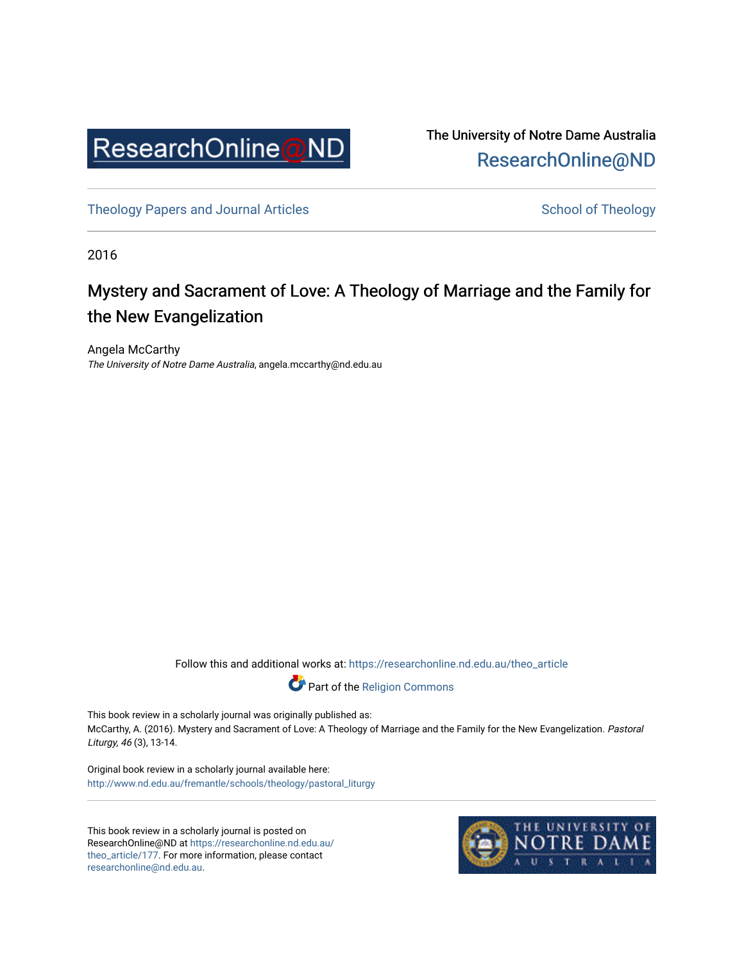

The University of Notre Dame Australia [ResearchOnline@ND](https://researchonline.nd.edu.au/) 

[Theology Papers and Journal Articles](https://researchonline.nd.edu.au/theo_article) and [School of Theology](https://researchonline.nd.edu.au/theo) School of Theology

2016

## Mystery and Sacrament of Love: A Theology of Marriage and the Family for the New Evangelization

Angela McCarthy The University of Notre Dame Australia, angela.mccarthy@nd.edu.au

Follow this and additional works at: [https://researchonline.nd.edu.au/theo\\_article](https://researchonline.nd.edu.au/theo_article?utm_source=researchonline.nd.edu.au%2Ftheo_article%2F177&utm_medium=PDF&utm_campaign=PDFCoverPages) 



This book review in a scholarly journal was originally published as: McCarthy, A. (2016). Mystery and Sacrament of Love: A Theology of Marriage and the Family for the New Evangelization. Pastoral Liturgy, 46 (3), 13-14.

Original book review in a scholarly journal available here: [http://www.nd.edu.au/fremantle/schools/theology/pastoral\\_liturgy](http://www.nd.edu.au/fremantle/schools/theology/pastoral_liturgy) 

This book review in a scholarly journal is posted on ResearchOnline@ND at [https://researchonline.nd.edu.au/](https://researchonline.nd.edu.au/theo_article/177) [theo\\_article/177](https://researchonline.nd.edu.au/theo_article/177). For more information, please contact [researchonline@nd.edu.au.](mailto:researchonline@nd.edu.au)

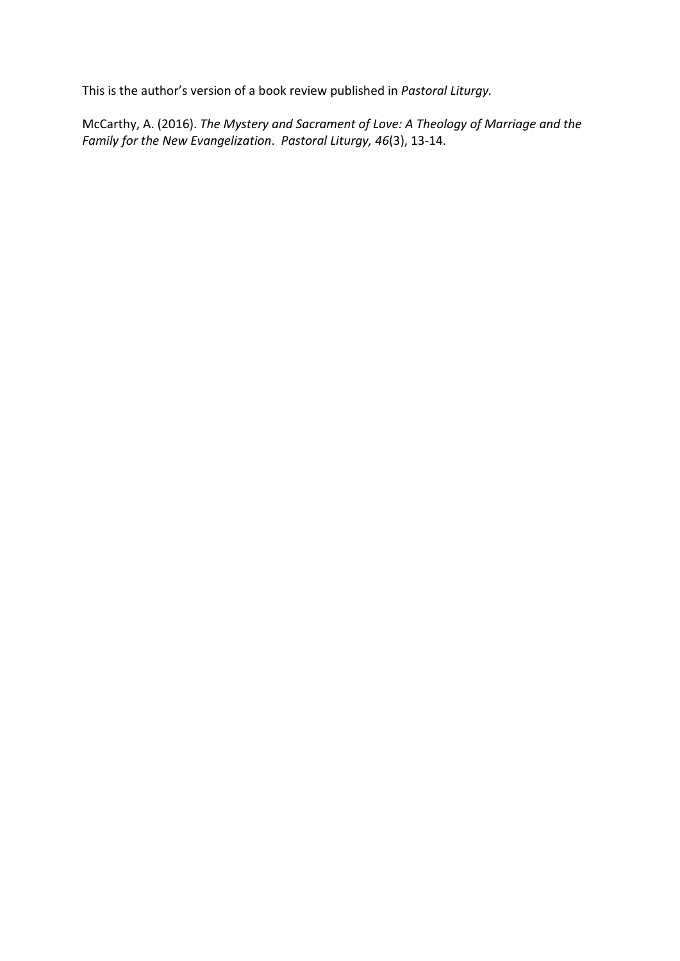This is the author's version of a book review published in *Pastoral Liturgy.*

McCarthy, A. (2016). *The Mystery and Sacrament of Love: A Theology of Marriage and the Family for the New Evangelization*. *Pastoral Liturgy, 46*(3), 13-14.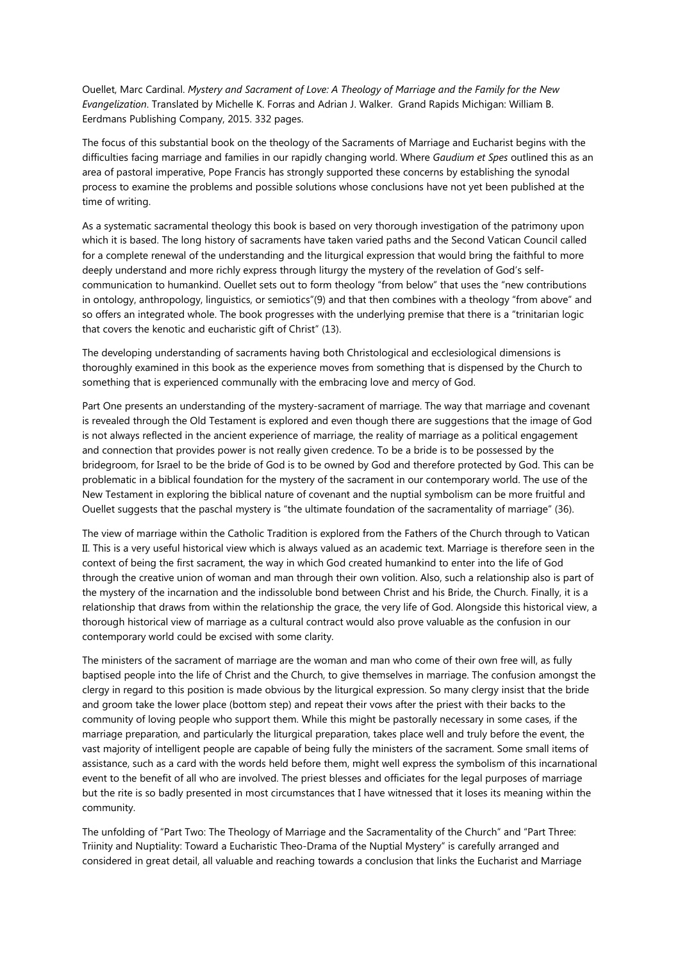Ouellet, Marc Cardinal. *Mystery and Sacrament of Love: A Theology of Marriage and the Family for the New Evangelization*. Translated by Michelle K. Forras and Adrian J. Walker. Grand Rapids Michigan: William B. Eerdmans Publishing Company, 2015. 332 pages.

The focus of this substantial book on the theology of the Sacraments of Marriage and Eucharist begins with the difficulties facing marriage and families in our rapidly changing world. Where *Gaudium et Spes* outlined this as an area of pastoral imperative, Pope Francis has strongly supported these concerns by establishing the synodal process to examine the problems and possible solutions whose conclusions have not yet been published at the time of writing.

As a systematic sacramental theology this book is based on very thorough investigation of the patrimony upon which it is based. The long history of sacraments have taken varied paths and the Second Vatican Council called for a complete renewal of the understanding and the liturgical expression that would bring the faithful to more deeply understand and more richly express through liturgy the mystery of the revelation of God's selfcommunication to humankind. Ouellet sets out to form theology "from below" that uses the "new contributions in ontology, anthropology, linguistics, or semiotics"(9) and that then combines with a theology "from above" and so offers an integrated whole. The book progresses with the underlying premise that there is a "trinitarian logic that covers the kenotic and eucharistic gift of Christ" (13).

The developing understanding of sacraments having both Christological and ecclesiological dimensions is thoroughly examined in this book as the experience moves from something that is dispensed by the Church to something that is experienced communally with the embracing love and mercy of God.

Part One presents an understanding of the mystery-sacrament of marriage. The way that marriage and covenant is revealed through the Old Testament is explored and even though there are suggestions that the image of God is not always reflected in the ancient experience of marriage, the reality of marriage as a political engagement and connection that provides power is not really given credence. To be a bride is to be possessed by the bridegroom, for Israel to be the bride of God is to be owned by God and therefore protected by God. This can be problematic in a biblical foundation for the mystery of the sacrament in our contemporary world. The use of the New Testament in exploring the biblical nature of covenant and the nuptial symbolism can be more fruitful and Ouellet suggests that the paschal mystery is "the ultimate foundation of the sacramentality of marriage" (36).

The view of marriage within the Catholic Tradition is explored from the Fathers of the Church through to Vatican II. This is a very useful historical view which is always valued as an academic text. Marriage is therefore seen in the context of being the first sacrament, the way in which God created humankind to enter into the life of God through the creative union of woman and man through their own volition. Also, such a relationship also is part of the mystery of the incarnation and the indissoluble bond between Christ and his Bride, the Church. Finally, it is a relationship that draws from within the relationship the grace, the very life of God. Alongside this historical view, a thorough historical view of marriage as a cultural contract would also prove valuable as the confusion in our contemporary world could be excised with some clarity.

The ministers of the sacrament of marriage are the woman and man who come of their own free will, as fully baptised people into the life of Christ and the Church, to give themselves in marriage. The confusion amongst the clergy in regard to this position is made obvious by the liturgical expression. So many clergy insist that the bride and groom take the lower place (bottom step) and repeat their vows after the priest with their backs to the community of loving people who support them. While this might be pastorally necessary in some cases, if the marriage preparation, and particularly the liturgical preparation, takes place well and truly before the event, the vast majority of intelligent people are capable of being fully the ministers of the sacrament. Some small items of assistance, such as a card with the words held before them, might well express the symbolism of this incarnational event to the benefit of all who are involved. The priest blesses and officiates for the legal purposes of marriage but the rite is so badly presented in most circumstances that I have witnessed that it loses its meaning within the community.

The unfolding of "Part Two: The Theology of Marriage and the Sacramentality of the Church" and "Part Three: Triinity and Nuptiality: Toward a Eucharistic Theo-Drama of the Nuptial Mystery" is carefully arranged and considered in great detail, all valuable and reaching towards a conclusion that links the Eucharist and Marriage